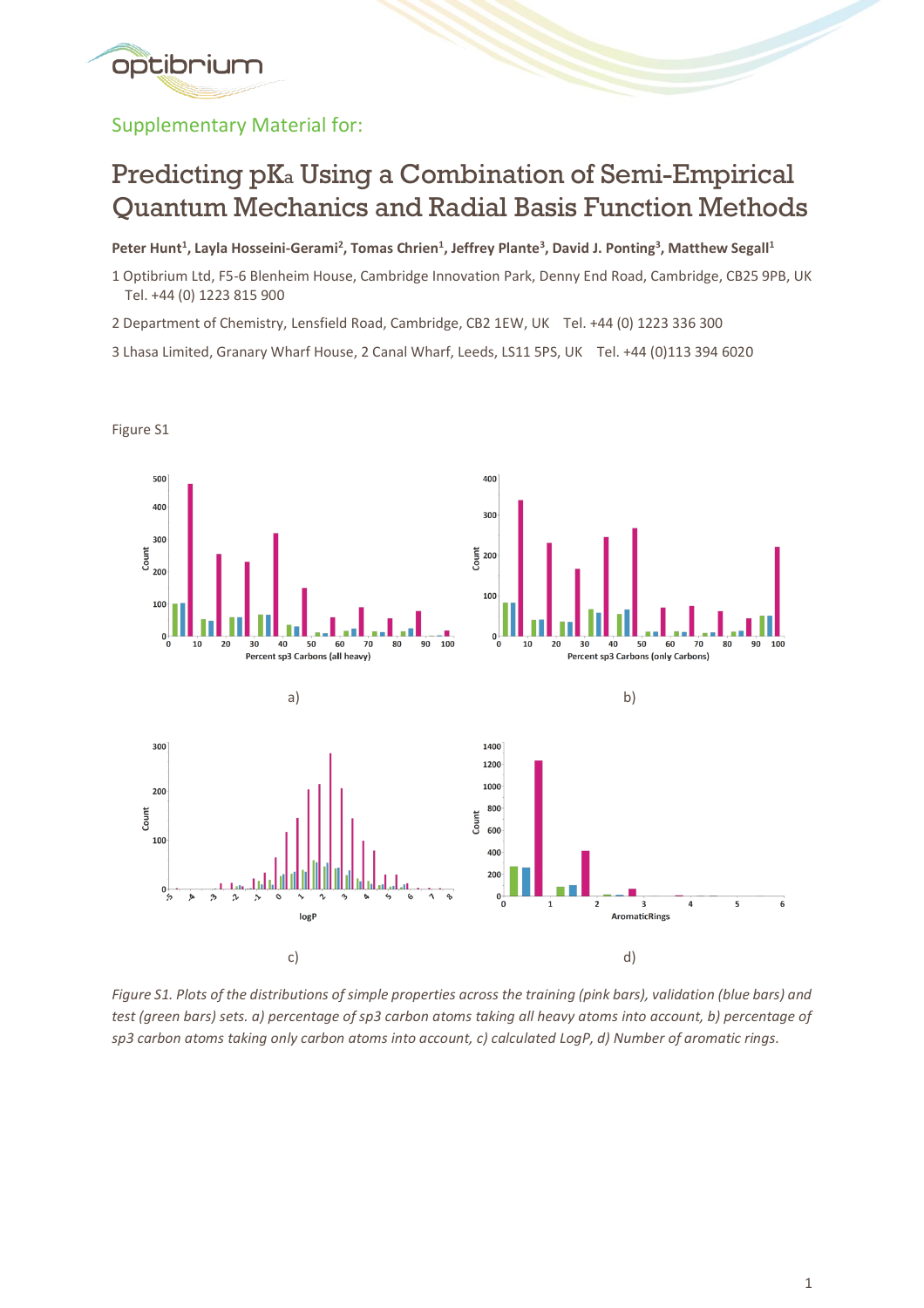

Supplementary Material for:

## Predicting pK<sup>a</sup> Using a Combination of Semi-Empirical Quantum Mechanics and Radial Basis Function Methods

**Peter Hunt<sup>1</sup> , Layla Hosseini-Gerami<sup>2</sup> , Tomas Chrien<sup>1</sup> , Jeffrey Plante<sup>3</sup> , David J. Ponting<sup>3</sup> , Matthew Segall<sup>1</sup>**

1 Optibrium Ltd, F5-6 Blenheim House, Cambridge Innovation Park, Denny End Road, Cambridge, CB25 9PB, UK Tel. +44 (0) 1223 815 900

2 Department of Chemistry, Lensfield Road, Cambridge, CB2 1EW, UK Tel. +44 (0) 1223 336 300

3 Lhasa Limited, Granary Wharf House, 2 Canal Wharf, Leeds, LS11 5PS, UK Tel. +44 (0)113 394 6020



*Figure S1. Plots of the distributions of simple properties across the training (pink bars), validation (blue bars) and test (green bars) sets. a) percentage of sp3 carbon atoms taking all heavy atoms into account, b) percentage of sp3 carbon atoms taking only carbon atoms into account, c) calculated LogP, d) Number of aromatic rings.*

Figure S1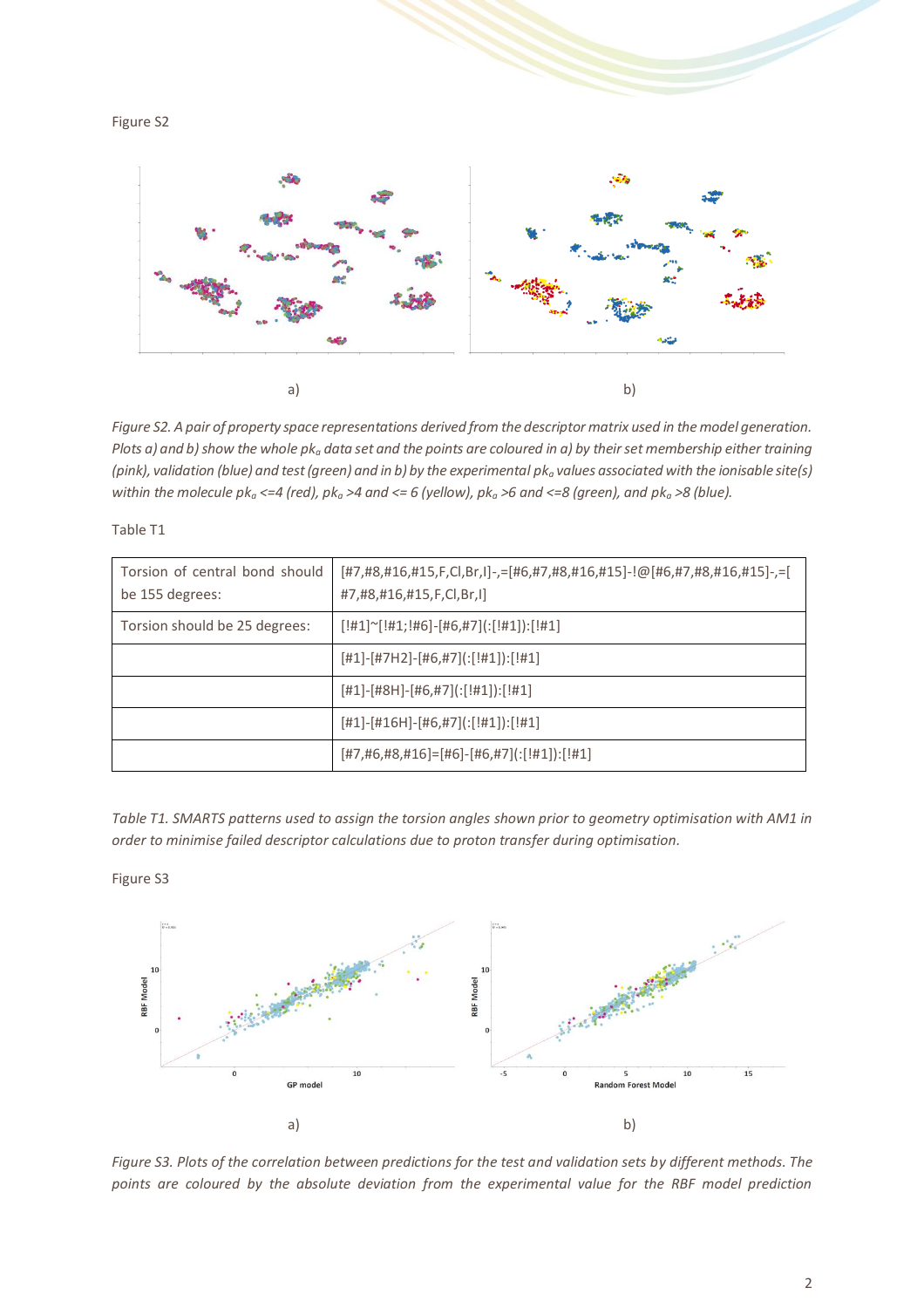



*Figure S2. A pair of property space representations derived from the descriptor matrix used in the model generation. Plots a) and b) show the whole pk<sup>a</sup> data set and the points are coloured in a) by their set membership either training (pink), validation (blue) and test (green) and in b) by the experimental pk<sup>a</sup> values associated with the ionisable site(s) within the molecule pk<sup>a</sup> <=4 (red), pk<sup>a</sup> >4 and <= 6 (yellow), pk<sup>a</sup> >6 and <=8 (green), and pk<sup>a</sup> >8 (blue).*

| Torsion of central bond should<br>be 155 degrees: | [#7,#8,#16,#15,F,Cl,Br,I]-,=[#6,#7,#8,#16,#15]-!@[#6,#7,#8,#16,#15]-,=[<br>#7,#8,#16,#15,F,Cl,Br,I] |
|---------------------------------------------------|-----------------------------------------------------------------------------------------------------|
| Torsion should be 25 degrees:                     | $[!#1]$ $\sim$ $[!#1;!#6]$ - $[#6, #7]$ $[!#1]$ $[!#1]$                                             |
|                                                   | $[#1]$ - $[#7H2]$ - $[#6, #7]$ $[:[#1])$ : $[#1]$                                                   |
|                                                   | $[#1]$ - $[#8H]$ - $[#6, #7]$ $[:[#1])$ : $[#1]$                                                    |
|                                                   | $[#1]$ - $[#16H]$ - $[#6, #7]$ (: $[#1]$ ): $[#1]$                                                  |
|                                                   | $[#7, #6, #8, #16] = [#6] - [#6, #7] (:[#1]) : [#1]$                                                |

*Table T1. SMARTS patterns used to assign the torsion angles shown prior to geometry optimisation with AM1 in order to minimise failed descriptor calculations due to proton transfer during optimisation.*



Table T1



*Figure S3. Plots of the correlation between predictions for the test and validation sets by different methods. The points are coloured by the absolute deviation from the experimental value for the RBF model prediction*